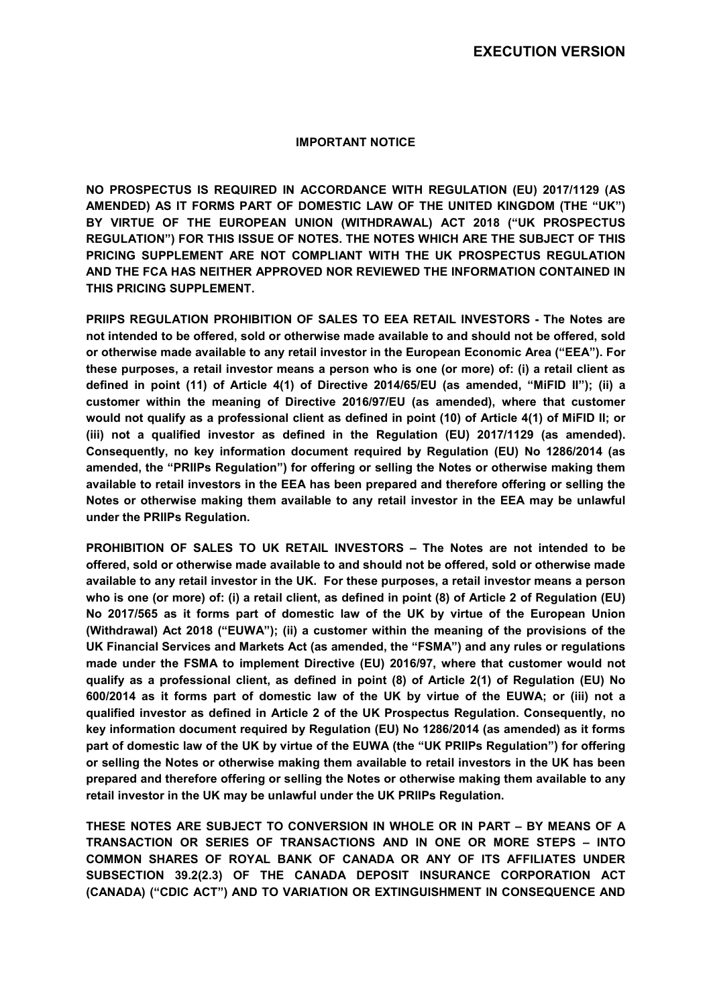### **IMPORTANT NOTICE**

**NO PROSPECTUS IS REQUIRED IN ACCORDANCE WITH REGULATION (EU) 2017/1129 (AS AMENDED) AS IT FORMS PART OF DOMESTIC LAW OF THE UNITED KINGDOM (THE "UK") BY VIRTUE OF THE EUROPEAN UNION (WITHDRAWAL) ACT 2018 ("UK PROSPECTUS REGULATION") FOR THIS ISSUE OF NOTES. THE NOTES WHICH ARE THE SUBJECT OF THIS PRICING SUPPLEMENT ARE NOT COMPLIANT WITH THE UK PROSPECTUS REGULATION AND THE FCA HAS NEITHER APPROVED NOR REVIEWED THE INFORMATION CONTAINED IN THIS PRICING SUPPLEMENT.** 

**PRIIPS REGULATION PROHIBITION OF SALES TO EEA RETAIL INVESTORS - The Notes are not intended to be offered, sold or otherwise made available to and should not be offered, sold or otherwise made available to any retail investor in the European Economic Area ("EEA"). For these purposes, a retail investor means a person who is one (or more) of: (i) a retail client as defined in point (11) of Article 4(1) of Directive 2014/65/EU (as amended, "MiFID II"); (ii) a customer within the meaning of Directive 2016/97/EU (as amended), where that customer would not qualify as a professional client as defined in point (10) of Article 4(1) of MiFID II; or (iii) not a qualified investor as defined in the Regulation (EU) 2017/1129 (as amended). Consequently, no key information document required by Regulation (EU) No 1286/2014 (as amended, the "PRIIPs Regulation") for offering or selling the Notes or otherwise making them available to retail investors in the EEA has been prepared and therefore offering or selling the Notes or otherwise making them available to any retail investor in the EEA may be unlawful under the PRIIPs Regulation.** 

**PROHIBITION OF SALES TO UK RETAIL INVESTORS – The Notes are not intended to be offered, sold or otherwise made available to and should not be offered, sold or otherwise made available to any retail investor in the UK. For these purposes, a retail investor means a person who is one (or more) of: (i) a retail client, as defined in point (8) of Article 2 of Regulation (EU) No 2017/565 as it forms part of domestic law of the UK by virtue of the European Union (Withdrawal) Act 2018 ("EUWA"); (ii) a customer within the meaning of the provisions of the UK Financial Services and Markets Act (as amended, the "FSMA") and any rules or regulations made under the FSMA to implement Directive (EU) 2016/97, where that customer would not qualify as a professional client, as defined in point (8) of Article 2(1) of Regulation (EU) No 600/2014 as it forms part of domestic law of the UK by virtue of the EUWA; or (iii) not a qualified investor as defined in Article 2 of the UK Prospectus Regulation. Consequently, no key information document required by Regulation (EU) No 1286/2014 (as amended) as it forms part of domestic law of the UK by virtue of the EUWA (the "UK PRIIPs Regulation") for offering or selling the Notes or otherwise making them available to retail investors in the UK has been prepared and therefore offering or selling the Notes or otherwise making them available to any retail investor in the UK may be unlawful under the UK PRIIPs Regulation.**

**THESE NOTES ARE SUBJECT TO CONVERSION IN WHOLE OR IN PART – BY MEANS OF A TRANSACTION OR SERIES OF TRANSACTIONS AND IN ONE OR MORE STEPS – INTO COMMON SHARES OF ROYAL BANK OF CANADA OR ANY OF ITS AFFILIATES UNDER SUBSECTION 39.2(2.3) OF THE CANADA DEPOSIT INSURANCE CORPORATION ACT (CANADA) ("CDIC ACT") AND TO VARIATION OR EXTINGUISHMENT IN CONSEQUENCE AND**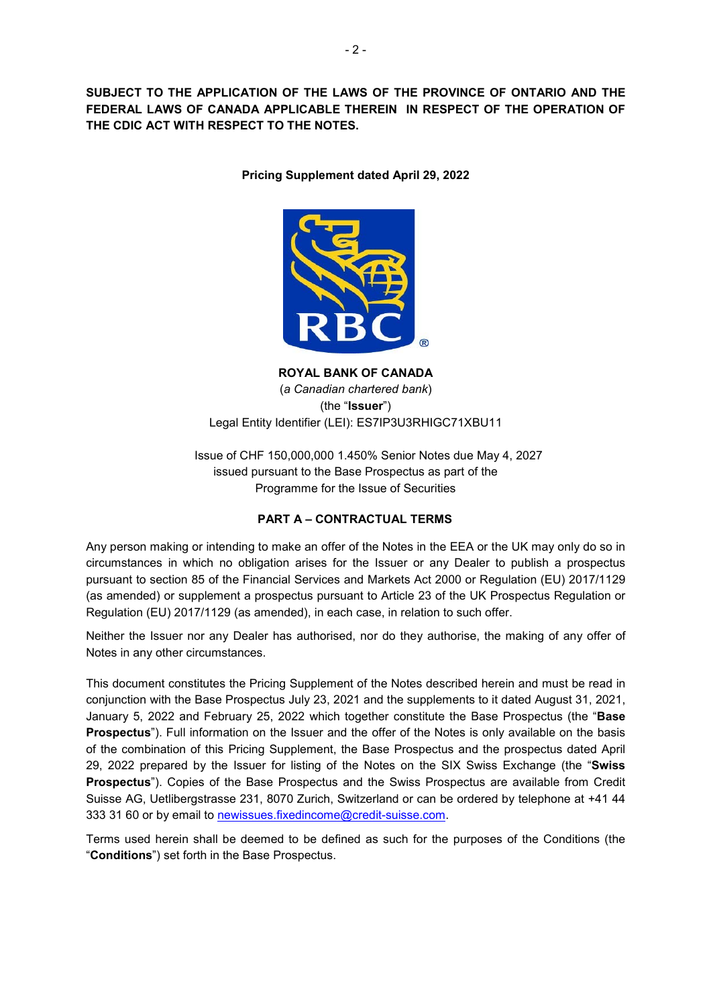**SUBJECT TO THE APPLICATION OF THE LAWS OF THE PROVINCE OF ONTARIO AND THE FEDERAL LAWS OF CANADA APPLICABLE THEREIN IN RESPECT OF THE OPERATION OF THE CDIC ACT WITH RESPECT TO THE NOTES.** 

**Pricing Supplement dated April 29, 2022** 



**ROYAL BANK OF CANADA**  (*a Canadian chartered bank*) (the "**Issuer**") Legal Entity Identifier (LEI): ES7IP3U3RHIGC71XBU11

Issue of CHF 150,000,000 1.450% Senior Notes due May 4, 2027 issued pursuant to the Base Prospectus as part of the Programme for the Issue of Securities

# **PART A – CONTRACTUAL TERMS**

Any person making or intending to make an offer of the Notes in the EEA or the UK may only do so in circumstances in which no obligation arises for the Issuer or any Dealer to publish a prospectus pursuant to section 85 of the Financial Services and Markets Act 2000 or Regulation (EU) 2017/1129 (as amended) or supplement a prospectus pursuant to Article 23 of the UK Prospectus Regulation or Regulation (EU) 2017/1129 (as amended), in each case, in relation to such offer.

Neither the Issuer nor any Dealer has authorised, nor do they authorise, the making of any offer of Notes in any other circumstances.

This document constitutes the Pricing Supplement of the Notes described herein and must be read in conjunction with the Base Prospectus July 23, 2021 and the supplements to it dated August 31, 2021, January 5, 2022 and February 25, 2022 which together constitute the Base Prospectus (the "**Base Prospectus**"). Full information on the Issuer and the offer of the Notes is only available on the basis of the combination of this Pricing Supplement, the Base Prospectus and the prospectus dated April 29, 2022 prepared by the Issuer for listing of the Notes on the SIX Swiss Exchange (the "**Swiss Prospectus**"). Copies of the Base Prospectus and the Swiss Prospectus are available from Credit Suisse AG, Uetlibergstrasse 231, 8070 Zurich, Switzerland or can be ordered by telephone at +41 44 333 31 60 or by email to newissues.fixedincome@credit-suisse.com.

Terms used herein shall be deemed to be defined as such for the purposes of the Conditions (the "**Conditions**") set forth in the Base Prospectus.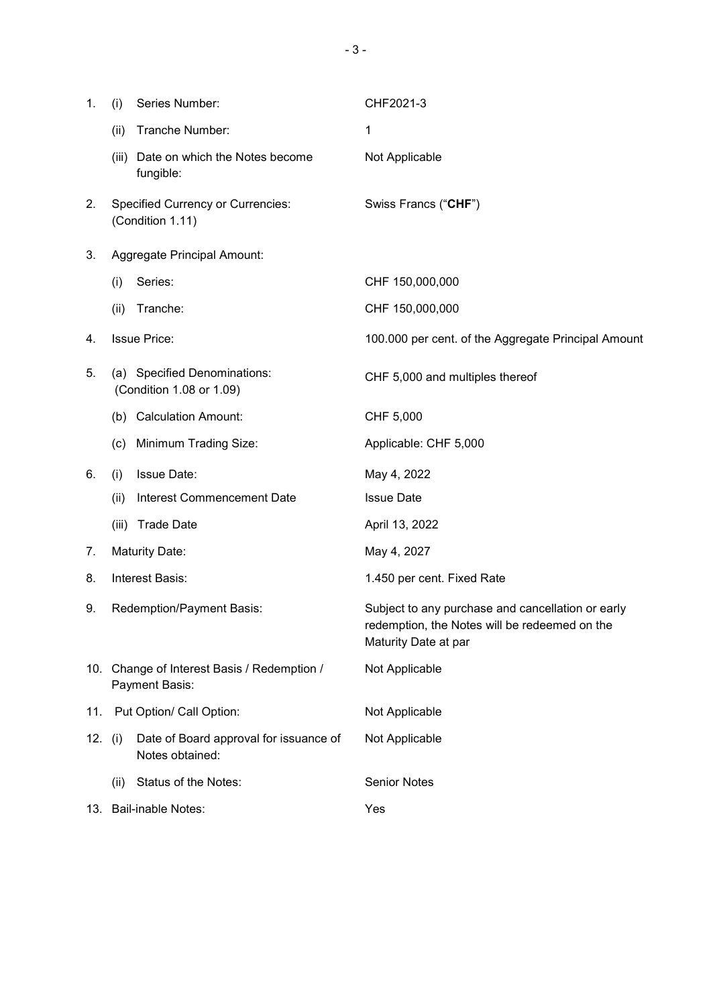| 1.        | (i)                                                           | Series Number:                                            | CHF2021-3                                                                                                                  |
|-----------|---------------------------------------------------------------|-----------------------------------------------------------|----------------------------------------------------------------------------------------------------------------------------|
|           | (ii)                                                          | Tranche Number:                                           | $\mathbf 1$                                                                                                                |
|           | (iii)                                                         | Date on which the Notes become<br>fungible:               | Not Applicable                                                                                                             |
| 2.        | <b>Specified Currency or Currencies:</b><br>(Condition 1.11)  |                                                           | Swiss Francs ("CHF")                                                                                                       |
| 3.        | Aggregate Principal Amount:                                   |                                                           |                                                                                                                            |
|           | (i)                                                           | Series:                                                   | CHF 150,000,000                                                                                                            |
|           | (ii)                                                          | Tranche:                                                  | CHF 150,000,000                                                                                                            |
| 4.        |                                                               | <b>Issue Price:</b>                                       | 100.000 per cent. of the Aggregate Principal Amount                                                                        |
| 5.        |                                                               | (a) Specified Denominations:<br>(Condition 1.08 or 1.09)  | CHF 5,000 and multiples thereof                                                                                            |
|           | (b)                                                           | <b>Calculation Amount:</b>                                | CHF 5,000                                                                                                                  |
|           | (c)                                                           | Minimum Trading Size:                                     | Applicable: CHF 5,000                                                                                                      |
| 6.        | (i)                                                           | <b>Issue Date:</b>                                        | May 4, 2022                                                                                                                |
|           | (ii)                                                          | Interest Commencement Date                                | <b>Issue Date</b>                                                                                                          |
|           | (iii)                                                         | <b>Trade Date</b>                                         | April 13, 2022                                                                                                             |
| 7.        | <b>Maturity Date:</b>                                         |                                                           | May 4, 2027                                                                                                                |
| 8.        | Interest Basis:                                               |                                                           | 1.450 per cent. Fixed Rate                                                                                                 |
| 9.        | <b>Redemption/Payment Basis:</b>                              |                                                           | Subject to any purchase and cancellation or early<br>redemption, the Notes will be redeemed on the<br>Maturity Date at par |
|           | 10. Change of Interest Basis / Redemption /<br>Payment Basis: |                                                           | Not Applicable                                                                                                             |
| 11.       | Put Option/ Call Option:                                      |                                                           | Not Applicable                                                                                                             |
| 12. $(i)$ |                                                               | Date of Board approval for issuance of<br>Notes obtained: | Not Applicable                                                                                                             |
|           | (ii)                                                          | Status of the Notes:                                      | <b>Senior Notes</b>                                                                                                        |
|           | 13. Bail-inable Notes:                                        |                                                           | Yes                                                                                                                        |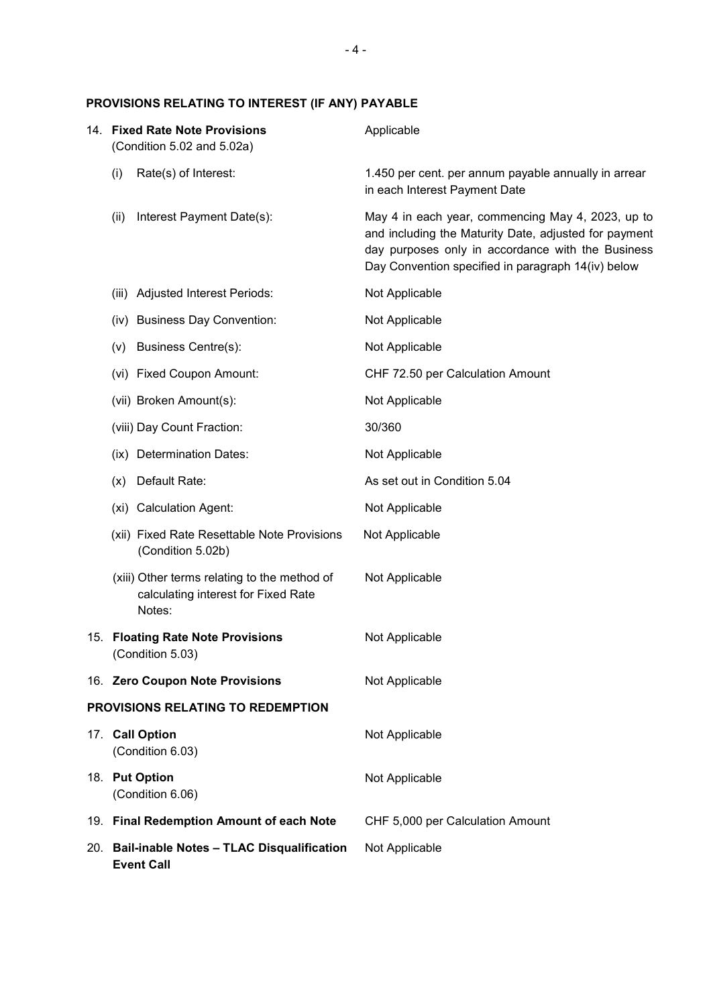# **PROVISIONS RELATING TO INTEREST (IF ANY) PAYABLE**

| 14. Fixed Rate Note Provisions<br>(Condition 5.02 and 5.02a) |                                                                                               | Applicable                                                                                                                                                                                                            |
|--------------------------------------------------------------|-----------------------------------------------------------------------------------------------|-----------------------------------------------------------------------------------------------------------------------------------------------------------------------------------------------------------------------|
| (i)                                                          | Rate(s) of Interest:                                                                          | 1.450 per cent. per annum payable annually in arrear<br>in each Interest Payment Date                                                                                                                                 |
| (ii)                                                         | Interest Payment Date(s):                                                                     | May 4 in each year, commencing May 4, 2023, up to<br>and including the Maturity Date, adjusted for payment<br>day purposes only in accordance with the Business<br>Day Convention specified in paragraph 14(iv) below |
| (iii)                                                        | <b>Adjusted Interest Periods:</b>                                                             | Not Applicable                                                                                                                                                                                                        |
|                                                              | (iv) Business Day Convention:                                                                 | Not Applicable                                                                                                                                                                                                        |
| (V)                                                          | Business Centre(s):                                                                           | Not Applicable                                                                                                                                                                                                        |
|                                                              | (vi) Fixed Coupon Amount:                                                                     | CHF 72.50 per Calculation Amount                                                                                                                                                                                      |
|                                                              | (vii) Broken Amount(s):                                                                       | Not Applicable                                                                                                                                                                                                        |
|                                                              | (viii) Day Count Fraction:                                                                    | 30/360                                                                                                                                                                                                                |
|                                                              | (ix) Determination Dates:                                                                     | Not Applicable                                                                                                                                                                                                        |
| (x)                                                          | Default Rate:                                                                                 | As set out in Condition 5.04                                                                                                                                                                                          |
|                                                              | (xi) Calculation Agent:                                                                       | Not Applicable                                                                                                                                                                                                        |
|                                                              | (xii) Fixed Rate Resettable Note Provisions<br>(Condition 5.02b)                              | Not Applicable                                                                                                                                                                                                        |
|                                                              | (xiii) Other terms relating to the method of<br>calculating interest for Fixed Rate<br>Notes: | Not Applicable                                                                                                                                                                                                        |
|                                                              | 15. Floating Rate Note Provisions<br>(Condition 5.03)                                         | Not Applicable                                                                                                                                                                                                        |
|                                                              | 16. Zero Coupon Note Provisions                                                               | Not Applicable                                                                                                                                                                                                        |
|                                                              | PROVISIONS RELATING TO REDEMPTION                                                             |                                                                                                                                                                                                                       |
| 17. Call Option<br>(Condition 6.03)                          |                                                                                               | Not Applicable                                                                                                                                                                                                        |
|                                                              | 18. Put Option<br>(Condition 6.06)                                                            | Not Applicable                                                                                                                                                                                                        |
|                                                              | 19. Final Redemption Amount of each Note                                                      | CHF 5,000 per Calculation Amount                                                                                                                                                                                      |
|                                                              | 20. Bail-inable Notes - TLAC Disqualification<br><b>Event Call</b>                            | Not Applicable                                                                                                                                                                                                        |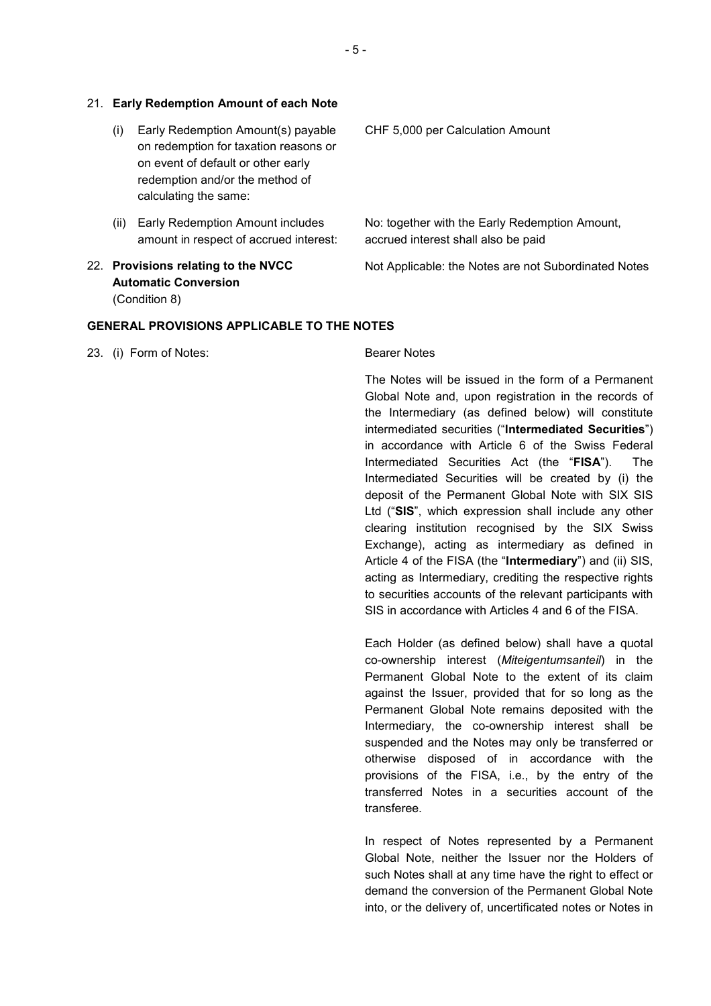#### 21. **Early Redemption Amount of each Note**

- (i) Early Redemption Amount(s) payable on redemption for taxation reasons or on event of default or other early redemption and/or the method of calculating the same:
- (ii) Early Redemption Amount includes amount in respect of accrued interest:
- 22. **Provisions relating to the NVCC Automatic Conversion**  (Condition 8)

CHF 5,000 per Calculation Amount

No: together with the Early Redemption Amount, accrued interest shall also be paid

Not Applicable: the Notes are not Subordinated Notes

#### **GENERAL PROVISIONS APPLICABLE TO THE NOTES**

23. (i) Form of Notes: Bearer Notes

The Notes will be issued in the form of a Permanent Global Note and, upon registration in the records of the Intermediary (as defined below) will constitute intermediated securities ("**Intermediated Securities**") in accordance with Article 6 of the Swiss Federal Intermediated Securities Act (the "**FISA**"). The Intermediated Securities will be created by (i) the deposit of the Permanent Global Note with SIX SIS Ltd ("**SIS**", which expression shall include any other clearing institution recognised by the SIX Swiss Exchange), acting as intermediary as defined in Article 4 of the FISA (the "**Intermediary**") and (ii) SIS, acting as Intermediary, crediting the respective rights to securities accounts of the relevant participants with SIS in accordance with Articles 4 and 6 of the FISA.

Each Holder (as defined below) shall have a quotal co-ownership interest (*Miteigentumsanteil*) in the Permanent Global Note to the extent of its claim against the Issuer, provided that for so long as the Permanent Global Note remains deposited with the Intermediary, the co-ownership interest shall be suspended and the Notes may only be transferred or otherwise disposed of in accordance with the provisions of the FISA, i.e., by the entry of the transferred Notes in a securities account of the transferee.

In respect of Notes represented by a Permanent Global Note, neither the Issuer nor the Holders of such Notes shall at any time have the right to effect or demand the conversion of the Permanent Global Note into, or the delivery of, uncertificated notes or Notes in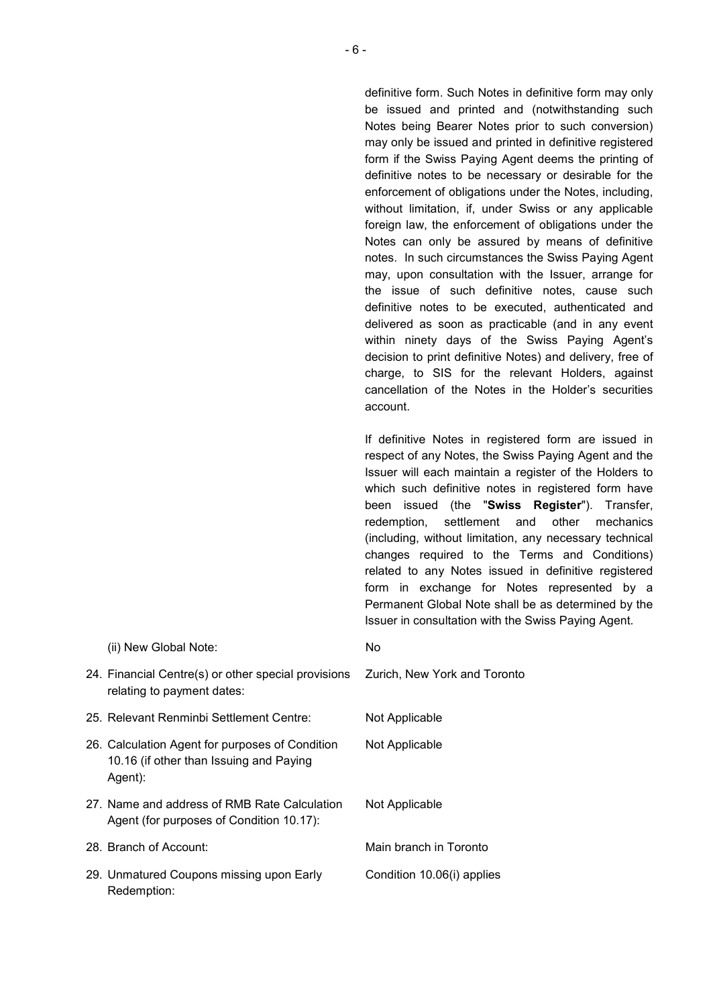definitive form. Such Notes in definitive form may only be issued and printed and (notwithstanding such Notes being Bearer Notes prior to such conversion) may only be issued and printed in definitive registered form if the Swiss Paying Agent deems the printing of definitive notes to be necessary or desirable for the enforcement of obligations under the Notes, including, without limitation, if, under Swiss or any applicable foreign law, the enforcement of obligations under the Notes can only be assured by means of definitive notes. In such circumstances the Swiss Paying Agent may, upon consultation with the Issuer, arrange for the issue of such definitive notes, cause such definitive notes to be executed, authenticated and delivered as soon as practicable (and in any event within ninety days of the Swiss Paying Agent's decision to print definitive Notes) and delivery, free of charge, to SIS for the relevant Holders, against cancellation of the Notes in the Holder's securities account.

If definitive Notes in registered form are issued in respect of any Notes, the Swiss Paying Agent and the Issuer will each maintain a register of the Holders to which such definitive notes in registered form have been issued (the "**Swiss Register**"). Transfer, redemption, settlement and other mechanics (including, without limitation, any necessary technical changes required to the Terms and Conditions) related to any Notes issued in definitive registered form in exchange for Notes represented by a Permanent Global Note shall be as determined by the Issuer in consultation with the Swiss Paying Agent.

| 24. Financial Centre(s) or other special provisions  Zurich, New York and Toronto<br>relating to payment dates: |                            |
|-----------------------------------------------------------------------------------------------------------------|----------------------------|
| 25. Relevant Renminbi Settlement Centre:                                                                        | Not Applicable             |
| 26. Calculation Agent for purposes of Condition<br>10.16 (if other than Issuing and Paying<br>Agent):           | Not Applicable             |
| 27. Name and address of RMB Rate Calculation<br>Agent (for purposes of Condition 10.17):                        | Not Applicable             |
| 28. Branch of Account:                                                                                          | Main branch in Toronto     |
| 29. Unmatured Coupons missing upon Early<br>Redemption:                                                         | Condition 10.06(i) applies |

(ii) New Global Note: No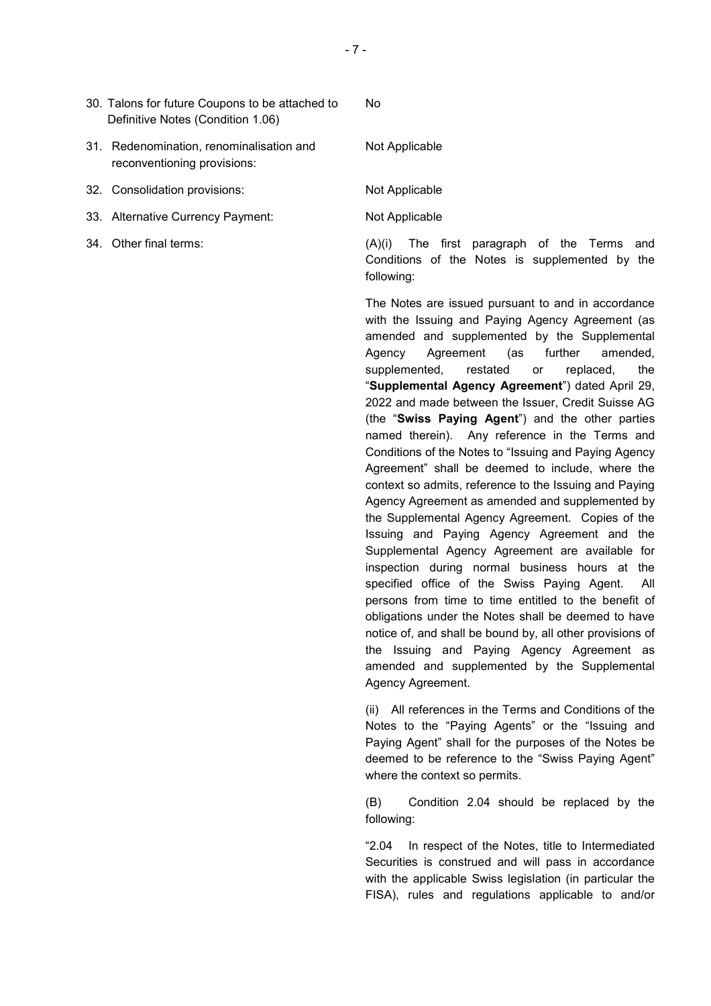| 30. Talons for future Coupons to be attached to<br>Definitive Notes (Condition 1.06) | No.                                                                                                            |
|--------------------------------------------------------------------------------------|----------------------------------------------------------------------------------------------------------------|
| 31. Redenomination, renominalisation and<br>reconventioning provisions:              | Not Applicable                                                                                                 |
| 32. Consolidation provisions:                                                        | Not Applicable                                                                                                 |
| 33. Alternative Currency Payment:                                                    | Not Applicable                                                                                                 |
| 34. Other final terms:                                                               | The first paragraph of the Terms and<br>(A)(i)<br>Conditions of the Notes is supplemented by the<br>following: |

The Notes are issued pursuant to and in accordance with the Issuing and Paying Agency Agreement (as amended and supplemented by the Supplemental Agency Agreement (as further amended, supplemented, restated or replaced, the "**Supplemental Agency Agreement**") dated April 29, 2022 and made between the Issuer, Credit Suisse AG (the "**Swiss Paying Agent**") and the other parties named therein). Any reference in the Terms and Conditions of the Notes to "Issuing and Paying Agency Agreement" shall be deemed to include, where the context so admits, reference to the Issuing and Paying Agency Agreement as amended and supplemented by the Supplemental Agency Agreement. Copies of the Issuing and Paying Agency Agreement and the Supplemental Agency Agreement are available for inspection during normal business hours at the specified office of the Swiss Paying Agent. All persons from time to time entitled to the benefit of obligations under the Notes shall be deemed to have notice of, and shall be bound by, all other provisions of the Issuing and Paying Agency Agreement as amended and supplemented by the Supplemental Agency Agreement.

 (ii) All references in the Terms and Conditions of the Notes to the "Paying Agents" or the "Issuing and Paying Agent" shall for the purposes of the Notes be deemed to be reference to the "Swiss Paying Agent" where the context so permits.

 (B) Condition 2.04 should be replaced by the following:

"2.04 In respect of the Notes, title to Intermediated Securities is construed and will pass in accordance with the applicable Swiss legislation (in particular the FISA), rules and regulations applicable to and/or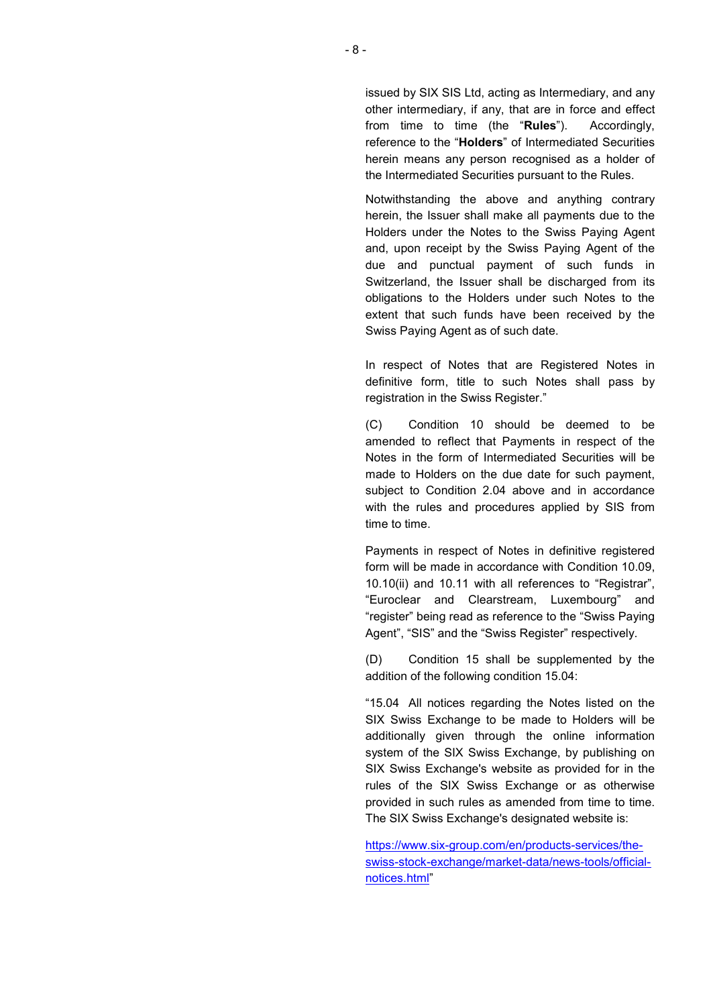issued by SIX SIS Ltd, acting as Intermediary, and any other intermediary, if any, that are in force and effect from time to time (the "**Rules**"). Accordingly, reference to the "**Holders**" of Intermediated Securities herein means any person recognised as a holder of the Intermediated Securities pursuant to the Rules.

Notwithstanding the above and anything contrary herein, the Issuer shall make all payments due to the Holders under the Notes to the Swiss Paying Agent and, upon receipt by the Swiss Paying Agent of the due and punctual payment of such funds in Switzerland, the Issuer shall be discharged from its obligations to the Holders under such Notes to the extent that such funds have been received by the Swiss Paying Agent as of such date.

In respect of Notes that are Registered Notes in definitive form, title to such Notes shall pass by registration in the Swiss Register."

 (C) Condition 10 should be deemed to be amended to reflect that Payments in respect of the Notes in the form of Intermediated Securities will be made to Holders on the due date for such payment, subject to Condition 2.04 above and in accordance with the rules and procedures applied by SIS from time to time.

Payments in respect of Notes in definitive registered form will be made in accordance with Condition 10.09, 10.10(ii) and 10.11 with all references to "Registrar", "Euroclear and Clearstream, Luxembourg" and "register" being read as reference to the "Swiss Paying Agent", "SIS" and the "Swiss Register" respectively.

 (D) Condition 15 shall be supplemented by the addition of the following condition 15.04:

"15.04 All notices regarding the Notes listed on the SIX Swiss Exchange to be made to Holders will be additionally given through the online information system of the SIX Swiss Exchange, by publishing on SIX Swiss Exchange's website as provided for in the rules of the SIX Swiss Exchange or as otherwise provided in such rules as amended from time to time. The SIX Swiss Exchange's designated website is:

https://www.six-group.com/en/products-services/theswiss-stock-exchange/market-data/news-tools/officialnotices.html"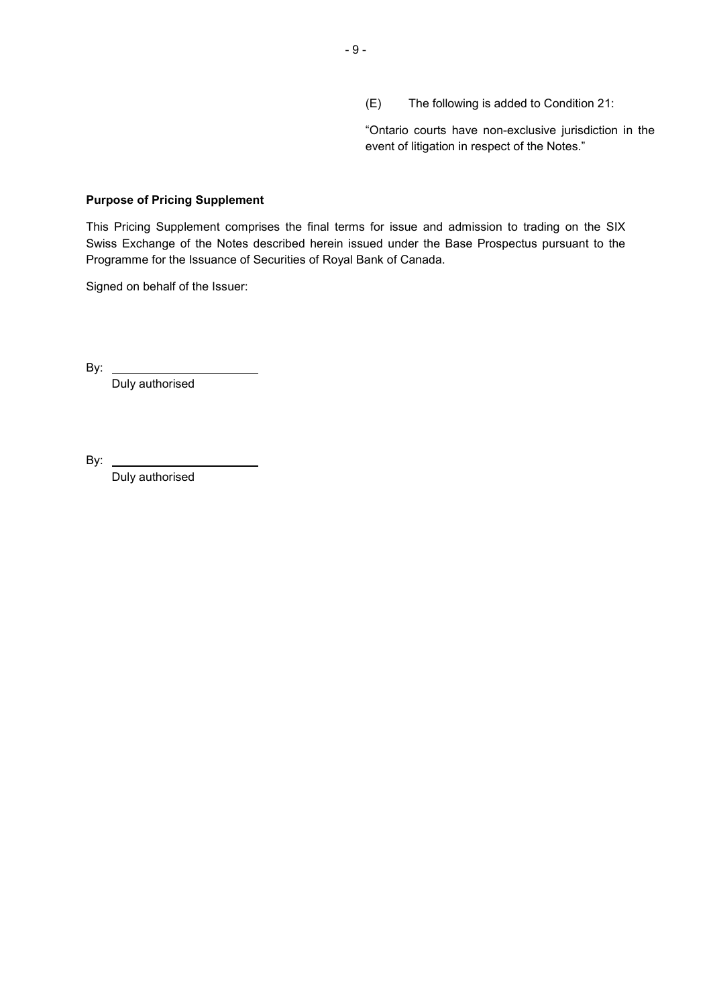(E) The following is added to Condition 21:

"Ontario courts have non-exclusive jurisdiction in the event of litigation in respect of the Notes."

#### **Purpose of Pricing Supplement**

This Pricing Supplement comprises the final terms for issue and admission to trading on the SIX Swiss Exchange of the Notes described herein issued under the Base Prospectus pursuant to the Programme for the Issuance of Securities of Royal Bank of Canada.

Signed on behalf of the Issuer:

By:  $\overline{\phantom{0}}$ 

Duly authorised

By:

Duly authorised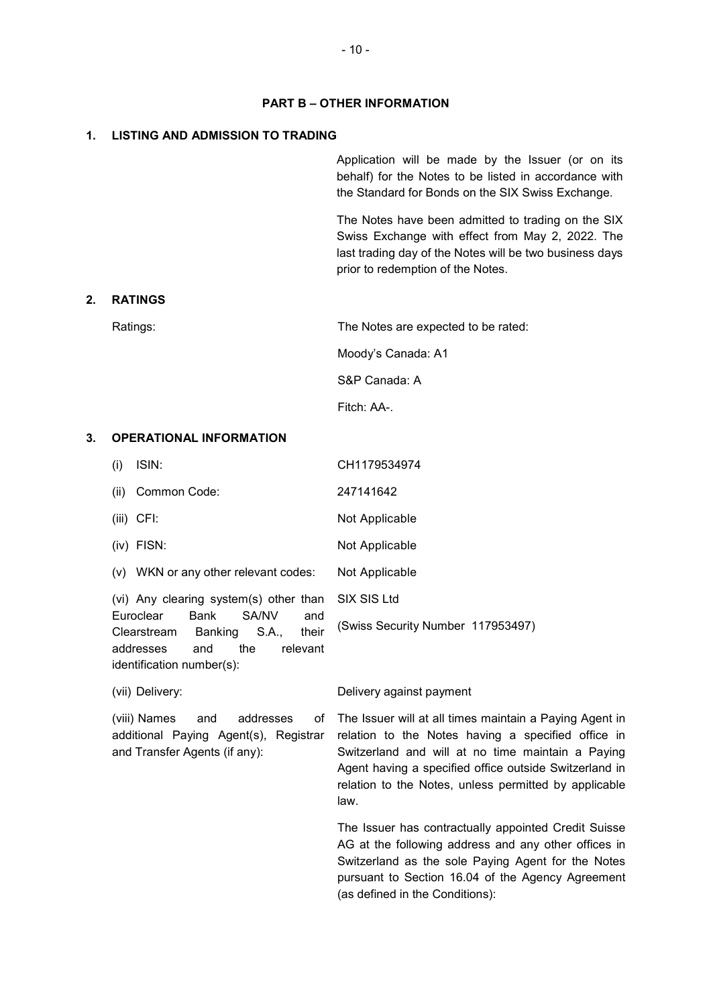#### **PART B – OTHER INFORMATION**

#### **1. LISTING AND ADMISSION TO TRADING**

 Application will be made by the Issuer (or on its behalf) for the Notes to be listed in accordance with the Standard for Bonds on the SIX Swiss Exchange.

The Notes have been admitted to trading on the SIX Swiss Exchange with effect from May 2, 2022. The last trading day of the Notes will be two business days prior to redemption of the Notes.

#### **2. RATINGS**

Ratings: Ratings: Ratings: Ratings: Ratings: Ratings: Ratings: Ratings: Ratings: Ratings: Ratings: Ratings: Ratings: Ratings: Ratings: Ratings: Ratings: Ratings: Ratings: Ratings: Ratings: Ratings: Ratings: Ratings: Rating

Moody's Canada: A1

S&P Canada: A

Fitch: AA-.

# **3. OPERATIONAL INFORMATION**

| (i)  | ISIN:                                                                                                             | CH1179534974                      |
|------|-------------------------------------------------------------------------------------------------------------------|-----------------------------------|
| (ii) | Common Code:                                                                                                      | 247141642                         |
|      | $(iii)$ CFI:                                                                                                      | Not Applicable                    |
|      | $(iv)$ FISN:                                                                                                      | Not Applicable                    |
|      | (v) WKN or any other relevant codes:                                                                              | Not Applicable                    |
|      | (vi) Any clearing system(s) other than SIX SIS Ltd                                                                |                                   |
|      | Euroclear<br>Bank<br>SA/NV<br>and<br>Banking S.A.,<br>their<br>Clearstream<br>addresses<br>the<br>relevant<br>and | (Swiss Security Number 117953497) |
|      | identification number(s):                                                                                         |                                   |

and Transfer Agents (if any):

(viii) Names and addresses of additional Paying Agent(s), Registrar

(vii) Delivery: Delivery against payment

The Issuer will at all times maintain a Paying Agent in relation to the Notes having a specified office in Switzerland and will at no time maintain a Paying Agent having a specified office outside Switzerland in relation to the Notes, unless permitted by applicable law.

The Issuer has contractually appointed Credit Suisse AG at the following address and any other offices in Switzerland as the sole Paying Agent for the Notes pursuant to Section 16.04 of the Agency Agreement (as defined in the Conditions):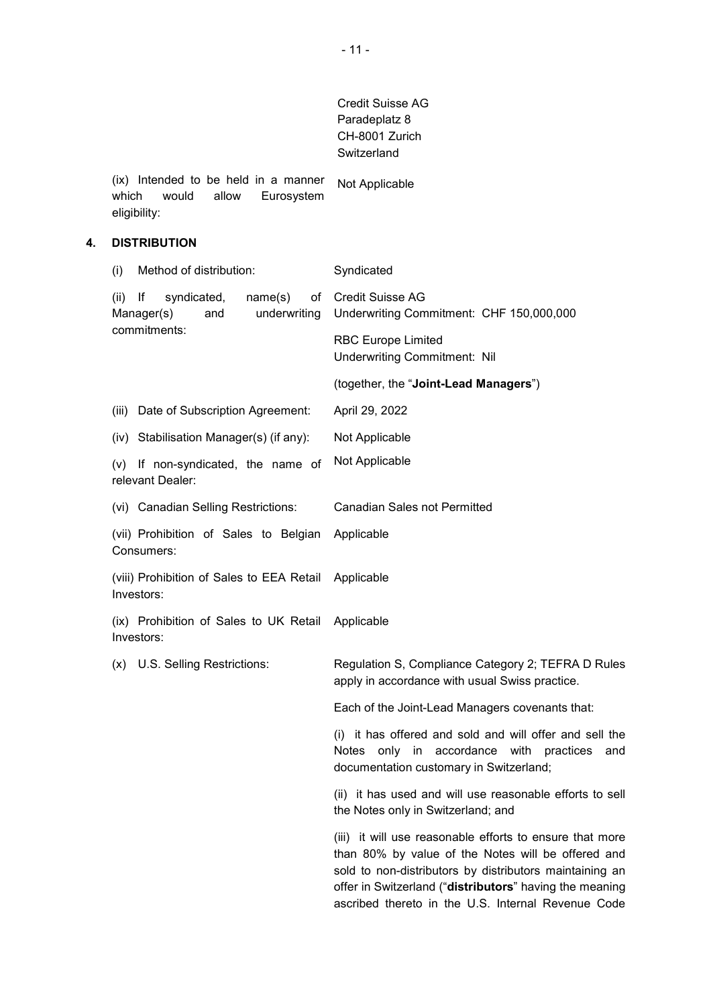# Credit Suisse AG Paradeplatz 8 CH-8001 Zurich **Switzerland**

(ix) Intended to be held in a manner which would allow Eurosystem eligibility: Not Applicable

# **4. DISTRIBUTION**

(i) Method of distribution: Syndicated (ii) If syndicated, name(s) of Manager(s) and underwriting commitments: Credit Suisse AG Underwriting Commitment: CHF 150,000,000 RBC Europe Limited Underwriting Commitment: Nil (together, the "**Joint-Lead Managers**") (iii) Date of Subscription Agreement: April 29, 2022 (iv) Stabilisation Manager(s) (if any): Not Applicable (v) If non-syndicated, the name of relevant Dealer: Not Applicable (vi) Canadian Selling Restrictions: Canadian Sales not Permitted (vii) Prohibition of Sales to Belgian Consumers: Applicable (viii) Prohibition of Sales to EEA Retail Investors: Applicable (ix) Prohibition of Sales to UK Retail Investors: Applicable (x) U.S. Selling Restrictions: Regulation S, Compliance Category 2; TEFRA D Rules apply in accordance with usual Swiss practice. Each of the Joint-Lead Managers covenants that: (i) it has offered and sold and will offer and sell the Notes only in accordance with practices and documentation customary in Switzerland; (ii) it has used and will use reasonable efforts to sell the Notes only in Switzerland; and (iii) it will use reasonable efforts to ensure that more than 80% by value of the Notes will be offered and sold to non-distributors by distributors maintaining an offer in Switzerland ("**distributors**" having the meaning ascribed thereto in the U.S. Internal Revenue Code